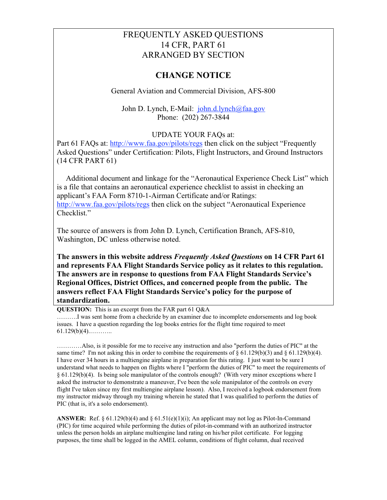## FREQUENTLY ASKED QUESTIONS 14 CFR, PART 61 ARRANGED BY SECTION

## **CHANGE NOTICE**

General Aviation and Commercial Division, AFS-800

John D. Lynch, E-Mail: john.d.lynch@faa.gov Phone: (202) 267-3844

## UPDATE YOUR FAQs at:

Part 61 FAQs at: http://www.faa.gov/pilots/regs then click on the subject "Frequently" Asked Questions" under Certification: Pilots, Flight Instructors, and Ground Instructors (14 CFR PART 61)

Additional document and linkage for the "Aeronautical Experience Check List" which is a file that contains an aeronautical experience checklist to assist in checking an applicant's FAA Form 8710-1-Airman Certificate and/or Ratings: http://www.faa.gov/pilots/regs then click on the subject "Aeronautical Experience" Checklist<sup>"</sup>

The source of answers is from John D. Lynch, Certification Branch, AFS-810, Washington, DC unless otherwise noted.

**The answers in this website address** *Frequently Asked Questions* **on 14 CFR Part 61 and represents FAA Flight Standards Service policy as it relates to this regulation. The answers are in response to questions from FAA Flight Standards Service's Regional Offices, District Offices, and concerned people from the public. The answers reflect FAA Flight Standards Service's policy for the purpose of standardization.**

**QUESTION:** This is an excerpt from the FAR part 61 Q&A

……….I was sent home from a checkride by an examiner due to incomplete endorsements and log book issues. I have a question regarding the log books entries for the flight time required to meet  $61.129(b)(4)$ .............

…………Also, is it possible for me to receive any instruction and also "perform the duties of PIC" at the same time? I'm not asking this in order to combine the requirements of  $\S 61.129(b)(3)$  and  $\S 61.129(b)(4)$ . I have over 34 hours in a multiengine airplane in preparation for this rating. I just want to be sure I understand what needs to happen on flights where I "perform the duties of PIC" to meet the requirements of § 61.129(b)(4). Is being sole manipulator of the controls enough? (With very minor exceptions where I asked the instructor to demonstrate a maneuver, I've been the sole manipulator of the controls on every flight I've taken since my first multiengine airplane lesson). Also, I received a logbook endorsement from my instructor midway through my training wherein he stated that I was qualified to perform the duties of PIC (that is, it's a solo endorsement).

**ANSWER:** Ref.  $\S 61.129(b)(4)$  and  $\S 61.51(e)(1)(i)$ ; An applicant may not log as Pilot-In-Command (PIC) for time acquired while performing the duties of pilot-in-command with an authorized instructor unless the person holds an airplane multiengine land rating on his/her pilot certificate. For logging purposes, the time shall be logged in the AMEL column, conditions of flight column, dual received